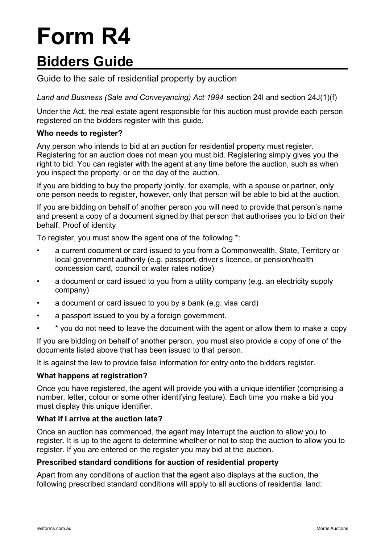# **Form R4**

## **Bidders Guide**

### Guide to the sale of residential property by auction

*Land and Business (Sale and Conveyancing) Act 1994* section 24I and section 24J(1)(f)

Under the Act, the real estate agent responsible for this auction must provide each person registered on the bidders register with this guide.

#### **Who needs to register?**

Any person who intends to bid at an auction for residential property must register. Registering for an auction does not mean you must bid. Registering simply gives you the right to bid. You can register with the agent at any time before the auction, such as when you inspect the property, or on the day of the auction.

If you are bidding to buy the property jointly, for example, with a spouse or partner, only one person needs to register, however, only that person will be able to bid at the auction.

If you are bidding on behalf of another person you will need to provide that person's name and present a copy of a document signed by that person that authorises you to bid on their behalf. Proof of identity

To register, you must show the agent one of the following \*:

- a current document or card issued to you from a Commonwealth, State, Territory or local government authority (e.g. passport, driver's licence, or pension/health concession card, council or water rates notice)
- a document or card issued to you from a utility company (e.g. an electricity supply company)
- a document or card issued to you by a bank (e.g. visa card)
- a passport issued to you by a foreign government.
- \* you do not need to leave the document with the agent or allow them to make a copy

If you are bidding on behalf of another person, you must also provide a copy of one of the documents listed above that has been issued to that person.

It is against the law to provide false information for entry onto the bidders register.

#### **What happens at registration?**

Once you have registered, the agent will provide you with a unique identifier (comprising a number, letter, colour or some other identifying feature). Each time you make a bid you must display this unique identifier.

#### **What if I arrive at the auction late?**

Once an auction has commenced, the agent may interrupt the auction to allow you to register. It is up to the agent to determine whether or not to stop the auction to allow you to register. If you are entered on the register you may bid at the auction.

#### **Prescribed standard conditions for auction of residential property**

Apart from any conditions of auction that the agent also displays at the auction, the following prescribed standard conditions will apply to all auctions of residential land: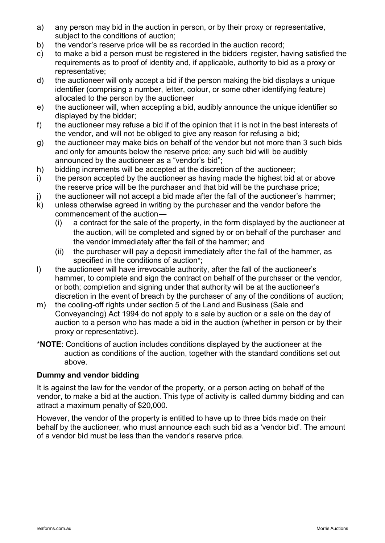- a) any person may bid in the auction in person, or by their proxy or representative, subject to the conditions of auction;
- b) the vendor's reserve price will be as recorded in the auction record;
- c) to make a bid a person must be registered in the bidders register, having satisfied the requirements as to proof of identity and, if applicable, authority to bid as a proxy or representative;
- d) the auctioneer will only accept a bid if the person making the bid displays a unique identifier (comprising a number, letter, colour, or some other identifying feature) allocated to the person by the auctioneer
- e) the auctioneer will, when accepting a bid, audibly announce the unique identifier so displayed by the bidder;
- f) the auctioneer may refuse a bid if of the opinion that it is not in the best interests of the vendor, and will not be obliged to give any reason for refusing a bid;
- g) the auctioneer may make bids on behalf of the vendor but not more than 3 such bids and only for amounts below the reserve price; any such bid will be audibly announced by the auctioneer as a "vendor's bid";
- h) bidding increments will be accepted at the discretion of the auctioneer;
- i) the person accepted by the auctioneer as having made the highest bid at or above the reserve price will be the purchaser and that bid will be the purchase price;
- j) the auctioneer will not accept a bid made after the fall of the auctioneer's hammer;
- k) unless otherwise agreed in writing by the purchaser and the vendor before the commencement of the auction—
	- (i) a contract for the sale of the property, in the form displayed by the auctioneer at the auction, will be completed and signed by or on behalf of the purchaser and the vendor immediately after the fall of the hammer; and
	- (ii) the purchaser will pay a deposit immediately after the fall of the hammer, as specified in the conditions of auction\*;
- l) the auctioneer will have irrevocable authority, after the fall of the auctioneer's hammer, to complete and sign the contract on behalf of the purchaser or the vendor, or both; completion and signing under that authority will be at the auctioneer's discretion in the event of breach by the purchaser of any of the conditions of auction;
- m) the cooling-off rights under section 5 of the Land and Business (Sale and Conveyancing) Act 1994 do not apply to a sale by auction or a sale on the day of auction to a person who has made a bid in the auction (whether in person or by their proxy or representative).
- \***NOTE**: Conditions of auction includes conditions displayed by the auctioneer at the auction as conditions of the auction, together with the standard conditions set out above.

#### **Dummy and vendor bidding**

It is against the law for the vendor of the property, or a person acting on behalf of the vendor, to make a bid at the auction. This type of activity is called dummy bidding and can attract a maximum penalty of \$20,000.

However, the vendor of the property is entitled to have up to three bids made on their behalf by the auctioneer, who must announce each such bid as a 'vendor bid'. The amount of a vendor bid must be less than the vendor's reserve price.